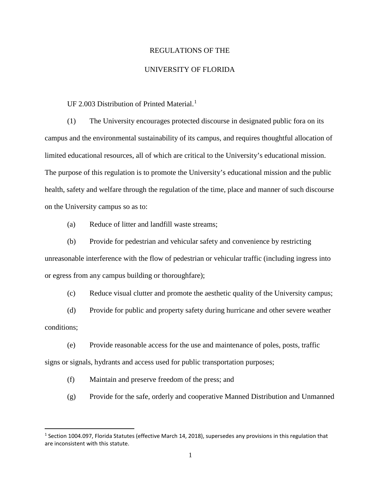## REGULATIONS OF THE

## UNIVERSITY OF FLORIDA

UF 2.003 Distribution of Printed Material.<sup>[1](#page-0-0)</sup>

(1) The University encourages protected discourse in designated public fora on its campus and the environmental sustainability of its campus, and requires thoughtful allocation of limited educational resources, all of which are critical to the University's educational mission. The purpose of this regulation is to promote the University's educational mission and the public health, safety and welfare through the regulation of the time, place and manner of such discourse on the University campus so as to:

(a) Reduce of litter and landfill waste streams;

(b) Provide for pedestrian and vehicular safety and convenience by restricting unreasonable interference with the flow of pedestrian or vehicular traffic (including ingress into

or egress from any campus building or thoroughfare);

(c) Reduce visual clutter and promote the aesthetic quality of the University campus;

(d) Provide for public and property safety during hurricane and other severe weather conditions;

(e) Provide reasonable access for the use and maintenance of poles, posts, traffic signs or signals, hydrants and access used for public transportation purposes;

(f) Maintain and preserve freedom of the press; and

(g) Provide for the safe, orderly and cooperative Manned Distribution and Unmanned

<span id="page-0-0"></span><sup>&</sup>lt;sup>1</sup> Section 1004.097, Florida Statutes (effective March 14, 2018), supersedes any provisions in this regulation that are inconsistent with this statute.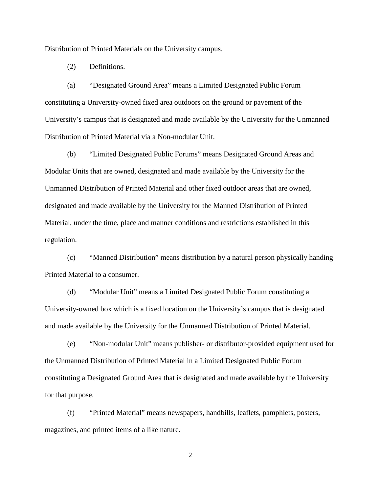Distribution of Printed Materials on the University campus.

(2) Definitions.

(a) "Designated Ground Area" means a Limited Designated Public Forum constituting a University-owned fixed area outdoors on the ground or pavement of the University's campus that is designated and made available by the University for the Unmanned Distribution of Printed Material via a Non-modular Unit.

(b) "Limited Designated Public Forums" means Designated Ground Areas and Modular Units that are owned, designated and made available by the University for the Unmanned Distribution of Printed Material and other fixed outdoor areas that are owned, designated and made available by the University for the Manned Distribution of Printed Material, under the time, place and manner conditions and restrictions established in this regulation.

(c) "Manned Distribution" means distribution by a natural person physically handing Printed Material to a consumer.

(d) "Modular Unit" means a Limited Designated Public Forum constituting a University-owned box which is a fixed location on the University's campus that is designated and made available by the University for the Unmanned Distribution of Printed Material.

(e) "Non-modular Unit" means publisher- or distributor-provided equipment used for the Unmanned Distribution of Printed Material in a Limited Designated Public Forum constituting a Designated Ground Area that is designated and made available by the University for that purpose.

(f) "Printed Material" means newspapers, handbills, leaflets, pamphlets, posters, magazines, and printed items of a like nature.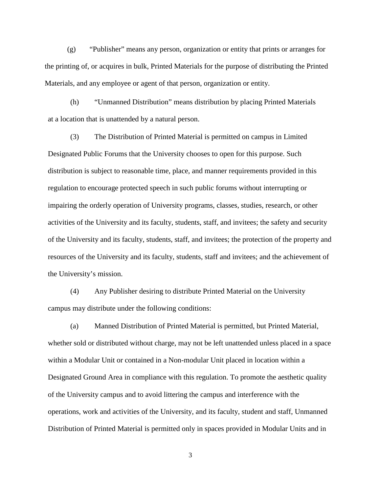(g) "Publisher" means any person, organization or entity that prints or arranges for the printing of, or acquires in bulk, Printed Materials for the purpose of distributing the Printed Materials, and any employee or agent of that person, organization or entity.

(h) "Unmanned Distribution" means distribution by placing Printed Materials at a location that is unattended by a natural person.

(3) The Distribution of Printed Material is permitted on campus in Limited Designated Public Forums that the University chooses to open for this purpose. Such distribution is subject to reasonable time, place, and manner requirements provided in this regulation to encourage protected speech in such public forums without interrupting or impairing the orderly operation of University programs, classes, studies, research, or other activities of the University and its faculty, students, staff, and invitees; the safety and security of the University and its faculty, students, staff, and invitees; the protection of the property and resources of the University and its faculty, students, staff and invitees; and the achievement of the University's mission.

(4) Any Publisher desiring to distribute Printed Material on the University campus may distribute under the following conditions:

(a) Manned Distribution of Printed Material is permitted, but Printed Material, whether sold or distributed without charge, may not be left unattended unless placed in a space within a Modular Unit or contained in a Non-modular Unit placed in location within a Designated Ground Area in compliance with this regulation. To promote the aesthetic quality of the University campus and to avoid littering the campus and interference with the operations, work and activities of the University, and its faculty, student and staff, Unmanned Distribution of Printed Material is permitted only in spaces provided in Modular Units and in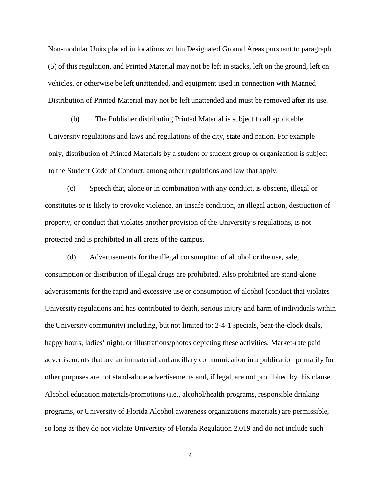Non-modular Units placed in locations within Designated Ground Areas pursuant to paragraph (5) of this regulation, and Printed Material may not be left in stacks, left on the ground, left on vehicles, or otherwise be left unattended, and equipment used in connection with Manned Distribution of Printed Material may not be left unattended and must be removed after its use.

(b) The Publisher distributing Printed Material is subject to all applicable University regulations and laws and regulations of the city, state and nation. For example only, distribution of Printed Materials by a student or student group or organization is subject to the Student Code of Conduct, among other regulations and law that apply.

(c) Speech that, alone or in combination with any conduct, is obscene, illegal or constitutes or is likely to provoke violence, an unsafe condition, an illegal action, destruction of property, or conduct that violates another provision of the University's regulations, is not protected and is prohibited in all areas of the campus.

(d) Advertisements for the illegal consumption of alcohol or the use, sale, consumption or distribution of illegal drugs are prohibited. Also prohibited are stand-alone advertisements for the rapid and excessive use or consumption of alcohol (conduct that violates University regulations and has contributed to death, serious injury and harm of individuals within the University community) including, but not limited to: 2-4-1 specials, beat-the-clock deals, happy hours, ladies' night, or illustrations/photos depicting these activities. Market-rate paid advertisements that are an immaterial and ancillary communication in a publication primarily for other purposes are not stand-alone advertisements and, if legal, are not prohibited by this clause. Alcohol education materials/promotions (i.e., alcohol/health programs, responsible drinking programs, or University of Florida Alcohol awareness organizations materials) are permissible, so long as they do not violate University of Florida Regulation 2.019 and do not include such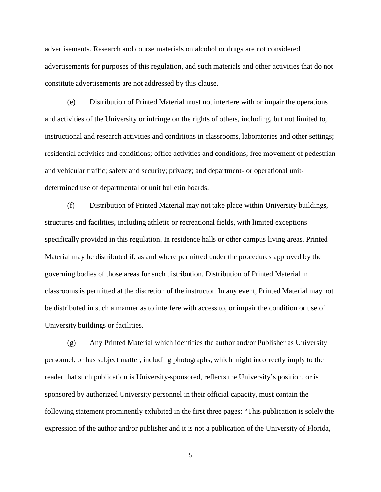advertisements. Research and course materials on alcohol or drugs are not considered advertisements for purposes of this regulation, and such materials and other activities that do not constitute advertisements are not addressed by this clause.

(e) Distribution of Printed Material must not interfere with or impair the operations and activities of the University or infringe on the rights of others, including, but not limited to, instructional and research activities and conditions in classrooms, laboratories and other settings; residential activities and conditions; office activities and conditions; free movement of pedestrian and vehicular traffic; safety and security; privacy; and department- or operational unitdetermined use of departmental or unit bulletin boards.

(f) Distribution of Printed Material may not take place within University buildings, structures and facilities, including athletic or recreational fields, with limited exceptions specifically provided in this regulation. In residence halls or other campus living areas, Printed Material may be distributed if, as and where permitted under the procedures approved by the governing bodies of those areas for such distribution. Distribution of Printed Material in classrooms is permitted at the discretion of the instructor. In any event, Printed Material may not be distributed in such a manner as to interfere with access to, or impair the condition or use of University buildings or facilities.

(g) Any Printed Material which identifies the author and/or Publisher as University personnel, or has subject matter, including photographs, which might incorrectly imply to the reader that such publication is University-sponsored, reflects the University's position, or is sponsored by authorized University personnel in their official capacity, must contain the following statement prominently exhibited in the first three pages: "This publication is solely the expression of the author and/or publisher and it is not a publication of the University of Florida,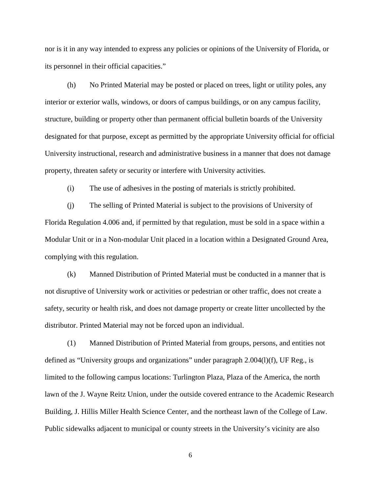nor is it in any way intended to express any policies or opinions of the University of Florida, or its personnel in their official capacities."

(h) No Printed Material may be posted or placed on trees, light or utility poles, any interior or exterior walls, windows, or doors of campus buildings, or on any campus facility, structure, building or property other than permanent official bulletin boards of the University designated for that purpose, except as permitted by the appropriate University official for official University instructional, research and administrative business in a manner that does not damage property, threaten safety or security or interfere with University activities.

(i) The use of adhesives in the posting of materials is strictly prohibited.

(j) The selling of Printed Material is subject to the provisions of University of Florida Regulation 4.006 and, if permitted by that regulation, must be sold in a space within a Modular Unit or in a Non-modular Unit placed in a location within a Designated Ground Area, complying with this regulation.

(k) Manned Distribution of Printed Material must be conducted in a manner that is not disruptive of University work or activities or pedestrian or other traffic, does not create a safety, security or health risk, and does not damage property or create litter uncollected by the distributor. Printed Material may not be forced upon an individual.

(1) Manned Distribution of Printed Material from groups, persons, and entities not defined as "University groups and organizations" under paragraph 2.004(l)(f), UF Reg., is limited to the following campus locations: Turlington Plaza, Plaza of the America, the north lawn of the J. Wayne Reitz Union, under the outside covered entrance to the Academic Research Building, J. Hillis Miller Health Science Center, and the northeast lawn of the College of Law. Public sidewalks adjacent to municipal or county streets in the University's vicinity are also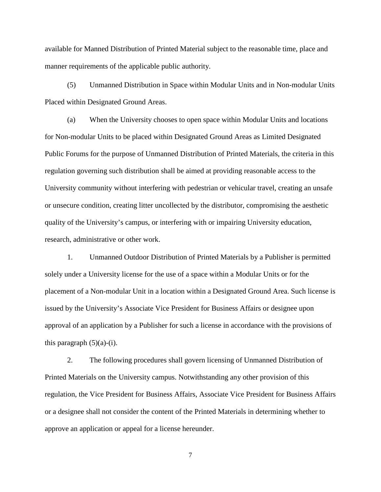available for Manned Distribution of Printed Material subject to the reasonable time, place and manner requirements of the applicable public authority.

(5) Unmanned Distribution in Space within Modular Units and in Non-modular Units Placed within Designated Ground Areas.

(a) When the University chooses to open space within Modular Units and locations for Non-modular Units to be placed within Designated Ground Areas as Limited Designated Public Forums for the purpose of Unmanned Distribution of Printed Materials, the criteria in this regulation governing such distribution shall be aimed at providing reasonable access to the University community without interfering with pedestrian or vehicular travel, creating an unsafe or unsecure condition, creating litter uncollected by the distributor, compromising the aesthetic quality of the University's campus, or interfering with or impairing University education, research, administrative or other work.

1. Unmanned Outdoor Distribution of Printed Materials by a Publisher is permitted solely under a University license for the use of a space within a Modular Units or for the placement of a Non-modular Unit in a location within a Designated Ground Area. Such license is issued by the University's Associate Vice President for Business Affairs or designee upon approval of an application by a Publisher for such a license in accordance with the provisions of this paragraph  $(5)(a)-(i)$ .

2. The following procedures shall govern licensing of Unmanned Distribution of Printed Materials on the University campus. Notwithstanding any other provision of this regulation, the Vice President for Business Affairs, Associate Vice President for Business Affairs or a designee shall not consider the content of the Printed Materials in determining whether to approve an application or appeal for a license hereunder.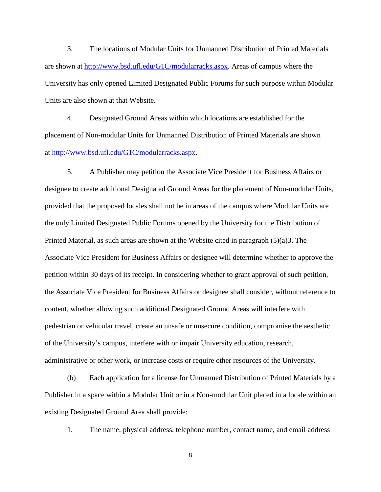3. The locations of Modular Units for Unmanned Distribution of Printed Materials are shown at [http://www.bsd.ufl.edu/G1C/modularracks.aspx.](http://www.bsd.ufl.edu/G1C/modularracks.aspx) Areas of campus where the University has only opened Limited Designated Public Forums for such purpose within Modular Units are also shown at that Website.

4. Designated Ground Areas within which locations are established for the placement of Non-modular Units for Unmanned Distribution of Printed Materials are shown at [http://www.bsd.ufl.edu/G1C/modularracks.aspx.](http://www.bsd.ufl.edu/G1C/modularracks.aspx)

5. A Publisher may petition the Associate Vice President for Business Affairs or designee to create additional Designated Ground Areas for the placement of Non-modular Units, provided that the proposed locales shall not be in areas of the campus where Modular Units are the only Limited Designated Public Forums opened by the University for the Distribution of Printed Material, as such areas are shown at the Website cited in paragraph (5)(a)3. The Associate Vice President for Business Affairs or designee will determine whether to approve the petition within 30 days of its receipt. In considering whether to grant approval of such petition, the Associate Vice President for Business Affairs or designee shall consider, without reference to content, whether allowing such additional Designated Ground Areas will interfere with pedestrian or vehicular travel, create an unsafe or unsecure condition, compromise the aesthetic of the University's campus, interfere with or impair University education, research, administrative or other work, or increase costs or require other resources of the University.

(b) Each application for a license for Unmanned Distribution of Printed Materials by a Publisher in a space within a Modular Unit or in a Non-modular Unit placed in a locale within an existing Designated Ground Area shall provide:

1. The name, physical address, telephone number, contact name, and email address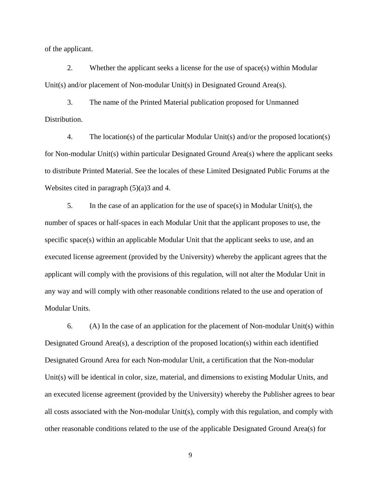of the applicant.

2. Whether the applicant seeks a license for the use of space(s) within Modular Unit(s) and/or placement of Non-modular Unit(s) in Designated Ground Area(s).

3. The name of the Printed Material publication proposed for Unmanned Distribution.

4. The location(s) of the particular Modular Unit(s) and/or the proposed location(s) for Non-modular Unit(s) within particular Designated Ground Area(s) where the applicant seeks to distribute Printed Material. See the locales of these Limited Designated Public Forums at the Websites cited in paragraph  $(5)(a)$ 3 and 4.

5. In the case of an application for the use of space(s) in Modular Unit(s), the number of spaces or half-spaces in each Modular Unit that the applicant proposes to use, the specific space(s) within an applicable Modular Unit that the applicant seeks to use, and an executed license agreement (provided by the University) whereby the applicant agrees that the applicant will comply with the provisions of this regulation, will not alter the Modular Unit in any way and will comply with other reasonable conditions related to the use and operation of Modular Units.

6. (A) In the case of an application for the placement of Non-modular Unit(s) within Designated Ground Area(s), a description of the proposed location(s) within each identified Designated Ground Area for each Non-modular Unit, a certification that the Non-modular Unit(s) will be identical in color, size, material, and dimensions to existing Modular Units, and an executed license agreement (provided by the University) whereby the Publisher agrees to bear all costs associated with the Non-modular Unit(s), comply with this regulation, and comply with other reasonable conditions related to the use of the applicable Designated Ground Area(s) for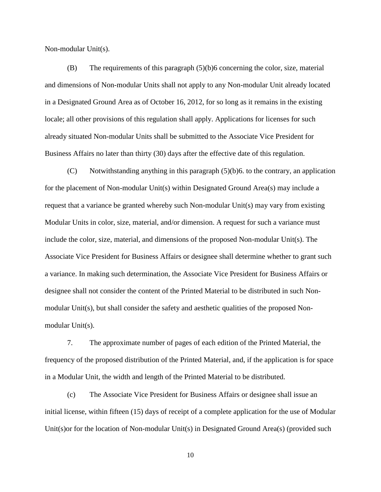Non-modular Unit(s).

(B) The requirements of this paragraph (5)(b)6 concerning the color, size, material and dimensions of Non-modular Units shall not apply to any Non-modular Unit already located in a Designated Ground Area as of October 16, 2012, for so long as it remains in the existing locale; all other provisions of this regulation shall apply. Applications for licenses for such already situated Non-modular Units shall be submitted to the Associate Vice President for Business Affairs no later than thirty (30) days after the effective date of this regulation.

(C) Notwithstanding anything in this paragraph (5)(b)6. to the contrary, an application for the placement of Non-modular Unit(s) within Designated Ground Area(s) may include a request that a variance be granted whereby such Non-modular Unit(s) may vary from existing Modular Units in color, size, material, and/or dimension. A request for such a variance must include the color, size, material, and dimensions of the proposed Non-modular Unit( $s$ ). The Associate Vice President for Business Affairs or designee shall determine whether to grant such a variance. In making such determination, the Associate Vice President for Business Affairs or designee shall not consider the content of the Printed Material to be distributed in such Nonmodular Unit(s), but shall consider the safety and aesthetic qualities of the proposed Nonmodular Unit(s).

7. The approximate number of pages of each edition of the Printed Material, the frequency of the proposed distribution of the Printed Material, and, if the application is for space in a Modular Unit, the width and length of the Printed Material to be distributed.

(c) The Associate Vice President for Business Affairs or designee shall issue an initial license, within fifteen (15) days of receipt of a complete application for the use of Modular Unit(s)or for the location of Non-modular Unit(s) in Designated Ground Area(s) (provided such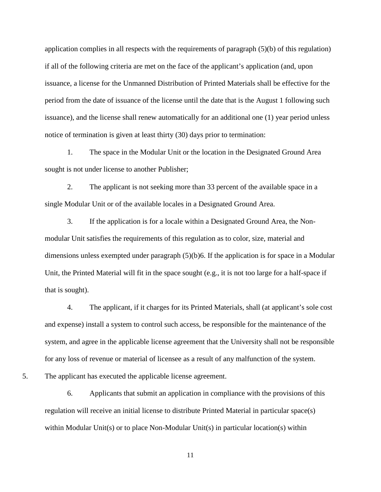application complies in all respects with the requirements of paragraph (5)(b) of this regulation) if all of the following criteria are met on the face of the applicant's application (and, upon issuance, a license for the Unmanned Distribution of Printed Materials shall be effective for the period from the date of issuance of the license until the date that is the August 1 following such issuance), and the license shall renew automatically for an additional one (1) year period unless notice of termination is given at least thirty (30) days prior to termination:

1. The space in the Modular Unit or the location in the Designated Ground Area sought is not under license to another Publisher;

2. The applicant is not seeking more than 33 percent of the available space in a single Modular Unit or of the available locales in a Designated Ground Area.

3. If the application is for a locale within a Designated Ground Area, the Nonmodular Unit satisfies the requirements of this regulation as to color, size, material and dimensions unless exempted under paragraph (5)(b)6. If the application is for space in a Modular Unit, the Printed Material will fit in the space sought (e.g., it is not too large for a half-space if that is sought).

4. The applicant, if it charges for its Printed Materials, shall (at applicant's sole cost and expense) install a system to control such access, be responsible for the maintenance of the system, and agree in the applicable license agreement that the University shall not be responsible for any loss of revenue or material of licensee as a result of any malfunction of the system.

5. The applicant has executed the applicable license agreement.

6. Applicants that submit an application in compliance with the provisions of this regulation will receive an initial license to distribute Printed Material in particular space(s) within Modular Unit(s) or to place Non-Modular Unit(s) in particular location(s) within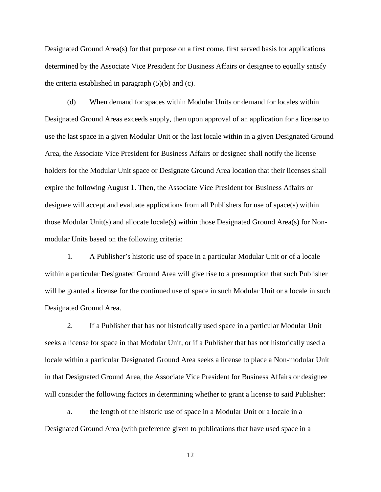Designated Ground Area(s) for that purpose on a first come, first served basis for applications determined by the Associate Vice President for Business Affairs or designee to equally satisfy the criteria established in paragraph (5)(b) and (c).

(d) When demand for spaces within Modular Units or demand for locales within Designated Ground Areas exceeds supply, then upon approval of an application for a license to use the last space in a given Modular Unit or the last locale within in a given Designated Ground Area, the Associate Vice President for Business Affairs or designee shall notify the license holders for the Modular Unit space or Designate Ground Area location that their licenses shall expire the following August 1. Then, the Associate Vice President for Business Affairs or designee will accept and evaluate applications from all Publishers for use of space(s) within those Modular Unit(s) and allocate locale(s) within those Designated Ground Area(s) for Nonmodular Units based on the following criteria:

1. A Publisher's historic use of space in a particular Modular Unit or of a locale within a particular Designated Ground Area will give rise to a presumption that such Publisher will be granted a license for the continued use of space in such Modular Unit or a locale in such Designated Ground Area.

2. If a Publisher that has not historically used space in a particular Modular Unit seeks a license for space in that Modular Unit, or if a Publisher that has not historically used a locale within a particular Designated Ground Area seeks a license to place a Non-modular Unit in that Designated Ground Area, the Associate Vice President for Business Affairs or designee will consider the following factors in determining whether to grant a license to said Publisher:

a. the length of the historic use of space in a Modular Unit or a locale in a Designated Ground Area (with preference given to publications that have used space in a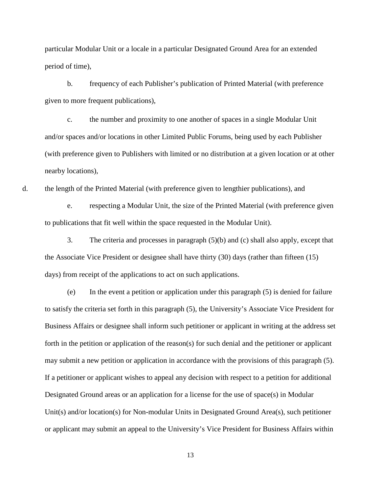particular Modular Unit or a locale in a particular Designated Ground Area for an extended period of time),

b. frequency of each Publisher's publication of Printed Material (with preference given to more frequent publications),

c. the number and proximity to one another of spaces in a single Modular Unit and/or spaces and/or locations in other Limited Public Forums, being used by each Publisher (with preference given to Publishers with limited or no distribution at a given location or at other nearby locations),

d. the length of the Printed Material (with preference given to lengthier publications), and

e. respecting a Modular Unit, the size of the Printed Material (with preference given to publications that fit well within the space requested in the Modular Unit).

3. The criteria and processes in paragraph (5)(b) and (c) shall also apply, except that the Associate Vice President or designee shall have thirty (30) days (rather than fifteen (15) days) from receipt of the applications to act on such applications.

(e) In the event a petition or application under this paragraph (5) is denied for failure to satisfy the criteria set forth in this paragraph (5), the University's Associate Vice President for Business Affairs or designee shall inform such petitioner or applicant in writing at the address set forth in the petition or application of the reason(s) for such denial and the petitioner or applicant may submit a new petition or application in accordance with the provisions of this paragraph (5). If a petitioner or applicant wishes to appeal any decision with respect to a petition for additional Designated Ground areas or an application for a license for the use of space(s) in Modular Unit(s) and/or location(s) for Non-modular Units in Designated Ground Area(s), such petitioner or applicant may submit an appeal to the University's Vice President for Business Affairs within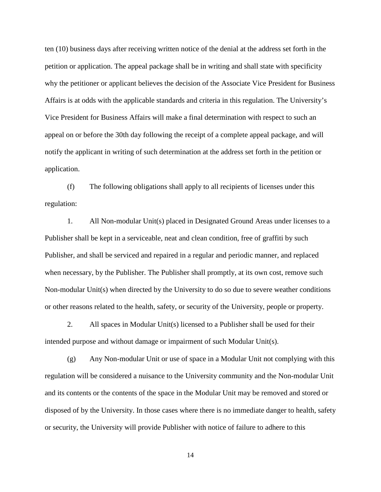ten (10) business days after receiving written notice of the denial at the address set forth in the petition or application. The appeal package shall be in writing and shall state with specificity why the petitioner or applicant believes the decision of the Associate Vice President for Business Affairs is at odds with the applicable standards and criteria in this regulation. The University's Vice President for Business Affairs will make a final determination with respect to such an appeal on or before the 30th day following the receipt of a complete appeal package, and will notify the applicant in writing of such determination at the address set forth in the petition or application.

(f) The following obligations shall apply to all recipients of licenses under this regulation:

1. All Non-modular Unit(s) placed in Designated Ground Areas under licenses to a Publisher shall be kept in a serviceable, neat and clean condition, free of graffiti by such Publisher, and shall be serviced and repaired in a regular and periodic manner, and replaced when necessary, by the Publisher. The Publisher shall promptly, at its own cost, remove such Non-modular Unit(s) when directed by the University to do so due to severe weather conditions or other reasons related to the health, safety, or security of the University, people or property.

2. All spaces in Modular Unit(s) licensed to a Publisher shall be used for their intended purpose and without damage or impairment of such Modular Unit(s).

(g) Any Non-modular Unit or use of space in a Modular Unit not complying with this regulation will be considered a nuisance to the University community and the Non-modular Unit and its contents or the contents of the space in the Modular Unit may be removed and stored or disposed of by the University. In those cases where there is no immediate danger to health, safety or security, the University will provide Publisher with notice of failure to adhere to this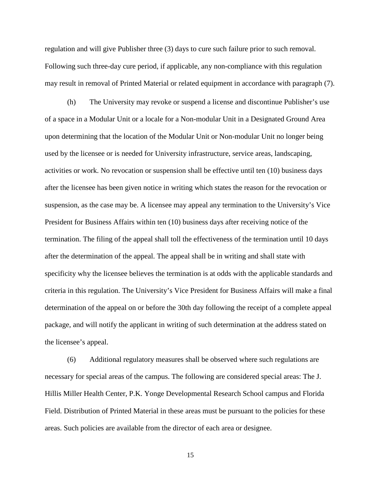regulation and will give Publisher three (3) days to cure such failure prior to such removal. Following such three-day cure period, if applicable, any non-compliance with this regulation may result in removal of Printed Material or related equipment in accordance with paragraph (7).

(h) The University may revoke or suspend a license and discontinue Publisher's use of a space in a Modular Unit or a locale for a Non-modular Unit in a Designated Ground Area upon determining that the location of the Modular Unit or Non-modular Unit no longer being used by the licensee or is needed for University infrastructure, service areas, landscaping, activities or work. No revocation or suspension shall be effective until ten (10) business days after the licensee has been given notice in writing which states the reason for the revocation or suspension, as the case may be. A licensee may appeal any termination to the University's Vice President for Business Affairs within ten (10) business days after receiving notice of the termination. The filing of the appeal shall toll the effectiveness of the termination until 10 days after the determination of the appeal. The appeal shall be in writing and shall state with specificity why the licensee believes the termination is at odds with the applicable standards and criteria in this regulation. The University's Vice President for Business Affairs will make a final determination of the appeal on or before the 30th day following the receipt of a complete appeal package, and will notify the applicant in writing of such determination at the address stated on the licensee's appeal.

(6) Additional regulatory measures shall be observed where such regulations are necessary for special areas of the campus. The following are considered special areas: The J. Hillis Miller Health Center, P.K. Yonge Developmental Research School campus and Florida Field. Distribution of Printed Material in these areas must be pursuant to the policies for these areas. Such policies are available from the director of each area or designee.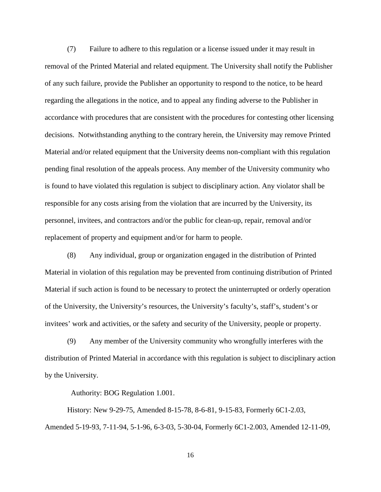(7) Failure to adhere to this regulation or a license issued under it may result in removal of the Printed Material and related equipment. The University shall notify the Publisher of any such failure, provide the Publisher an opportunity to respond to the notice, to be heard regarding the allegations in the notice, and to appeal any finding adverse to the Publisher in accordance with procedures that are consistent with the procedures for contesting other licensing decisions. Notwithstanding anything to the contrary herein, the University may remove Printed Material and/or related equipment that the University deems non-compliant with this regulation pending final resolution of the appeals process. Any member of the University community who is found to have violated this regulation is subject to disciplinary action. Any violator shall be responsible for any costs arising from the violation that are incurred by the University, its personnel, invitees, and contractors and/or the public for clean-up, repair, removal and/or replacement of property and equipment and/or for harm to people.

(8) Any individual, group or organization engaged in the distribution of Printed Material in violation of this regulation may be prevented from continuing distribution of Printed Material if such action is found to be necessary to protect the uninterrupted or orderly operation of the University, the University's resources, the University's faculty's, staff's, student's or invitees' work and activities, or the safety and security of the University, people or property.

(9) Any member of the University community who wrongfully interferes with the distribution of Printed Material in accordance with this regulation is subject to disciplinary action by the University.

Authority: BOG Regulation 1.001.

History: New 9-29-75, Amended 8-15-78, 8-6-81, 9-15-83, Formerly 6C1-2.03, Amended 5-19-93, 7-11-94, 5-1-96, 6-3-03, 5-30-04, Formerly 6C1-2.003, Amended 12-11-09,